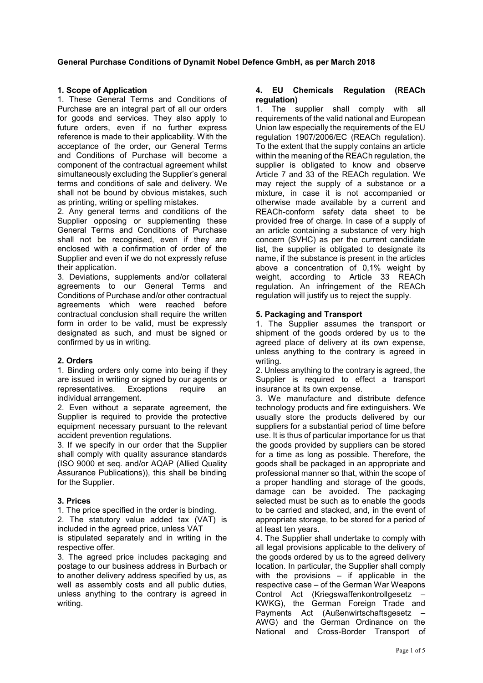## **1. Scope of Application**

1. These General Terms and Conditions of Purchase are an integral part of all our orders for goods and services. They also apply to future orders, even if no further express reference is made to their applicability. With the acceptance of the order, our General Terms and Conditions of Purchase will become a component of the contractual agreement whilst simultaneously excluding the Supplier's general terms and conditions of sale and delivery. We shall not be bound by obvious mistakes, such as printing, writing or spelling mistakes.

2. Any general terms and conditions of the Supplier opposing or supplementing these General Terms and Conditions of Purchase shall not be recognised, even if they are enclosed with a confirmation of order of the Supplier and even if we do not expressly refuse their application.

3. Deviations, supplements and/or collateral agreements to our General Terms and Conditions of Purchase and/or other contractual agreements which were reached before contractual conclusion shall require the written form in order to be valid, must be expressly designated as such, and must be signed or confirmed by us in writing.

#### **2. Orders**

1. Binding orders only come into being if they are issued in writing or signed by our agents or<br>representatives. Exceptions require an representatives. Exceptions require an individual arrangement.

2. Even without a separate agreement, the Supplier is required to provide the protective equipment necessary pursuant to the relevant accident prevention regulations.

3. If we specify in our order that the Supplier shall comply with quality assurance standards (ISO 9000 et seq. and/or AQAP (Allied Quality Assurance Publications)), this shall be binding for the Supplier.

## **3. Prices**

1. The price specified in the order is binding.

2. The statutory value added tax (VAT) is included in the agreed price, unless VAT

is stipulated separately and in writing in the respective offer.

3. The agreed price includes packaging and postage to our business address in Burbach or to another delivery address specified by us, as well as assembly costs and all public duties, unless anything to the contrary is agreed in writing.

## **4. EU Chemicals Regulation (REACh regulation)**

1. The supplier shall comply with all requirements of the valid national and European Union law especially the requirements of the EU regulation 1907/2006/EC (REACh regulation). To the extent that the supply contains an article within the meaning of the REACh regulation, the supplier is obligated to know and observe Article 7 and 33 of the REACh regulation. We may reject the supply of a substance or a mixture, in case it is not accompanied or otherwise made available by a current and REACh-conform safety data sheet to be provided free of charge. In case of a supply of an article containing a substance of very high concern (SVHC) as per the current candidate list, the supplier is obligated to designate its name, if the substance is present in the articles above a concentration of 0,1% weight by weight, according to Article 33 REACh regulation. An infringement of the REACh regulation will justify us to reject the supply.

## **5. Packaging and Transport**

1. The Supplier assumes the transport or shipment of the goods ordered by us to the agreed place of delivery at its own expense, unless anything to the contrary is agreed in writing.

2. Unless anything to the contrary is agreed, the Supplier is required to effect a transport insurance at its own expense.

3. We manufacture and distribute defence technology products and fire extinguishers. We usually store the products delivered by our suppliers for a substantial period of time before use. It is thus of particular importance for us that the goods provided by suppliers can be stored for a time as long as possible. Therefore, the goods shall be packaged in an appropriate and professional manner so that, within the scope of a proper handling and storage of the goods, damage can be avoided. The packaging selected must be such as to enable the goods to be carried and stacked, and, in the event of appropriate storage, to be stored for a period of at least ten years.

4. The Supplier shall undertake to comply with all legal provisions applicable to the delivery of the goods ordered by us to the agreed delivery location. In particular, the Supplier shall comply with the provisions – if applicable in the respective case – of the German War Weapons Control Act (Kriegswaffenkontrollgesetz – KWKG), the German Foreign Trade and Payments Act (Außenwirtschaftsgesetz – AWG) and the German Ordinance on the National and Cross-Border Transport of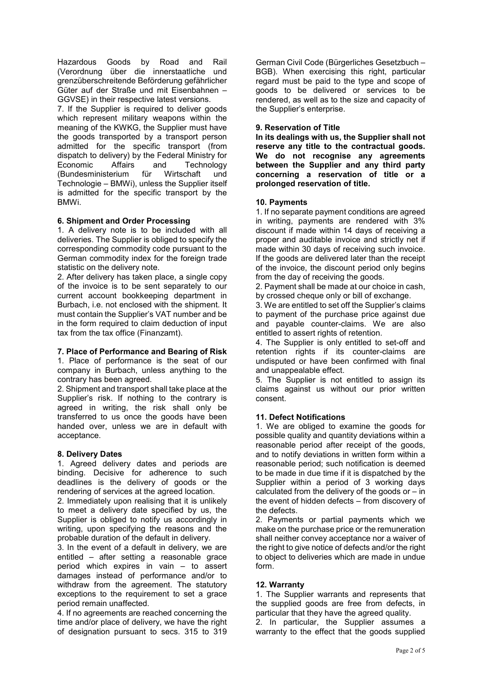Hazardous Goods by Road and Rail (Verordnung über die innerstaatliche und grenzüberschreitende Beförderung gefährlicher Güter auf der Straße und mit Eisenbahnen – GGVSE) in their respective latest versions.

7. If the Supplier is required to deliver goods which represent military weapons within the meaning of the KWKG, the Supplier must have the goods transported by a transport person admitted for the specific transport (from dispatch to delivery) by the Federal Ministry for Economic Affairs and Technology<br>(Bundesministerium für Wirtschaft und (Bundesministerium für Wirtschaft und Technologie – BMWi), unless the Supplier itself is admitted for the specific transport by the BMWi.

## **6. Shipment and Order Processing**

1. A delivery note is to be included with all deliveries. The Supplier is obliged to specify the corresponding commodity code pursuant to the German commodity index for the foreign trade statistic on the delivery note.

2. After delivery has taken place, a single copy of the invoice is to be sent separately to our current account bookkeeping department in Burbach, i.e. not enclosed with the shipment. It must contain the Supplier's VAT number and be in the form required to claim deduction of input tax from the tax office (Finanzamt).

#### **7. Place of Performance and Bearing of Risk**

1. Place of performance is the seat of our company in Burbach, unless anything to the contrary has been agreed.

2. Shipment and transport shall take place at the Supplier's risk. If nothing to the contrary is agreed in writing, the risk shall only be transferred to us once the goods have been handed over, unless we are in default with acceptance.

#### **8. Delivery Dates**

1. Agreed delivery dates and periods are binding. Decisive for adherence to such deadlines is the delivery of goods or the rendering of services at the agreed location.

2. Immediately upon realising that it is unlikely to meet a delivery date specified by us, the Supplier is obliged to notify us accordingly in writing, upon specifying the reasons and the probable duration of the default in delivery.

3. In the event of a default in delivery, we are entitled – after setting a reasonable grace period which expires in vain – to assert damages instead of performance and/or to withdraw from the agreement. The statutory exceptions to the requirement to set a grace period remain unaffected.

4. If no agreements are reached concerning the time and/or place of delivery, we have the right of designation pursuant to secs. 315 to 319

German Civil Code (Bürgerliches Gesetzbuch – BGB). When exercising this right, particular regard must be paid to the type and scope of goods to be delivered or services to be rendered, as well as to the size and capacity of the Supplier's enterprise.

#### **9. Reservation of Title**

**In its dealings with us, the Supplier shall not reserve any title to the contractual goods. We do not recognise any agreements between the Supplier and any third party concerning a reservation of title or a prolonged reservation of title.**

## **10. Payments**

1. If no separate payment conditions are agreed in writing, payments are rendered with 3% discount if made within 14 days of receiving a proper and auditable invoice and strictly net if made within 30 days of receiving such invoice. If the goods are delivered later than the receipt of the invoice, the discount period only begins from the day of receiving the goods.

2. Payment shall be made at our choice in cash, by crossed cheque only or bill of exchange.

3. We are entitled to set off the Supplier's claims to payment of the purchase price against due and payable counter-claims. We are also entitled to assert rights of retention.

4. The Supplier is only entitled to set-off and retention rights if its counter-claims are undisputed or have been confirmed with final and unappealable effect.

5. The Supplier is not entitled to assign its claims against us without our prior written consent.

#### **11. Defect Notifications**

1. We are obliged to examine the goods for possible quality and quantity deviations within a reasonable period after receipt of the goods, and to notify deviations in written form within a reasonable period; such notification is deemed to be made in due time if it is dispatched by the Supplier within a period of 3 working days calculated from the delivery of the goods or  $-$  in the event of hidden defects – from discovery of the defects.

2. Payments or partial payments which we make on the purchase price or the remuneration shall neither convey acceptance nor a waiver of the right to give notice of defects and/or the right to object to deliveries which are made in undue form.

#### **12. Warranty**

1. The Supplier warrants and represents that the supplied goods are free from defects, in particular that they have the agreed quality.

2. In particular, the Supplier assumes a warranty to the effect that the goods supplied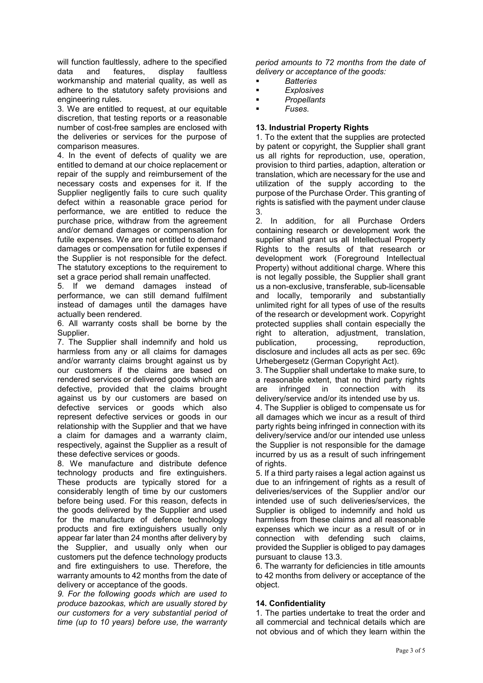will function faultlessly, adhere to the specified<br>data and features. display faultless data and features, display faultless workmanship and material quality, as well as adhere to the statutory safety provisions and engineering rules.

3. We are entitled to request, at our equitable discretion, that testing reports or a reasonable number of cost-free samples are enclosed with the deliveries or services for the purpose of comparison measures.

4. In the event of defects of quality we are entitled to demand at our choice replacement or repair of the supply and reimbursement of the necessary costs and expenses for it. If the Supplier negligently fails to cure such quality defect within a reasonable grace period for performance, we are entitled to reduce the purchase price, withdraw from the agreement and/or demand damages or compensation for futile expenses. We are not entitled to demand damages or compensation for futile expenses if the Supplier is not responsible for the defect. The statutory exceptions to the requirement to set a grace period shall remain unaffected.

5. If we demand damages instead of performance, we can still demand fulfilment instead of damages until the damages have actually been rendered.

6. All warranty costs shall be borne by the Supplier.

7. The Supplier shall indemnify and hold us harmless from any or all claims for damages and/or warranty claims brought against us by our customers if the claims are based on rendered services or delivered goods which are defective, provided that the claims brought against us by our customers are based on defective services or goods which also represent defective services or goods in our relationship with the Supplier and that we have a claim for damages and a warranty claim, respectively, against the Supplier as a result of these defective services or goods.

8. We manufacture and distribute defence technology products and fire extinguishers. These products are typically stored for a considerably length of time by our customers before being used. For this reason, defects in the goods delivered by the Supplier and used for the manufacture of defence technology products and fire extinguishers usually only appear far later than 24 months after delivery by the Supplier, and usually only when our customers put the defence technology products and fire extinguishers to use. Therefore, the warranty amounts to 42 months from the date of delivery or acceptance of the goods.

*9. For the following goods which are used to produce bazookas, which are usually stored by our customers for a very substantial period of time (up to 10 years) before use, the warranty* 

*period amounts to 72 months from the date of delivery or acceptance of the goods:*

- *Batteries*
- *Explosives*
- *Propellants*
- *Fuses.*

## **13. Industrial Property Rights**

1. To the extent that the supplies are protected by patent or copyright, the Supplier shall grant us all rights for reproduction, use, operation, provision to third parties, adaption, alteration or translation, which are necessary for the use and utilization of the supply according to the purpose of the Purchase Order. This granting of rights is satisfied with the payment under clause 3.

2. In addition, for all Purchase Orders containing research or development work the supplier shall grant us all Intellectual Property Rights to the results of that research or development work (Foreground Intellectual Property) without additional charge. Where this is not legally possible, the Supplier shall grant us a non-exclusive, transferable, sub-licensable and locally, temporarily and substantially unlimited right for all types of use of the results of the research or development work. Copyright protected supplies shall contain especially the right to alteration, adjustment, translation, publication, processing, reproduction, disclosure and includes all acts as per sec. 69c Urhebergesetz (German Copyright Act).

3. The Supplier shall undertake to make sure, to a reasonable extent, that no third party rights<br>are infringed in connection with its infringed in connection with its delivery/service and/or its intended use by us.

4. The Supplier is obliged to compensate us for all damages which we incur as a result of third party rights being infringed in connection with its delivery/service and/or our intended use unless the Supplier is not responsible for the damage incurred by us as a result of such infringement of rights.

5. If a third party raises a legal action against us due to an infringement of rights as a result of deliveries/services of the Supplier and/or our intended use of such deliveries/services, the Supplier is obliged to indemnify and hold us harmless from these claims and all reasonable expenses which we incur as a result of or in connection with defending such claims, provided the Supplier is obliged to pay damages pursuant to clause 13.3.

6. The warranty for deficiencies in title amounts to 42 months from delivery or acceptance of the object.

## **14. Confidentiality**

1. The parties undertake to treat the order and all commercial and technical details which are not obvious and of which they learn within the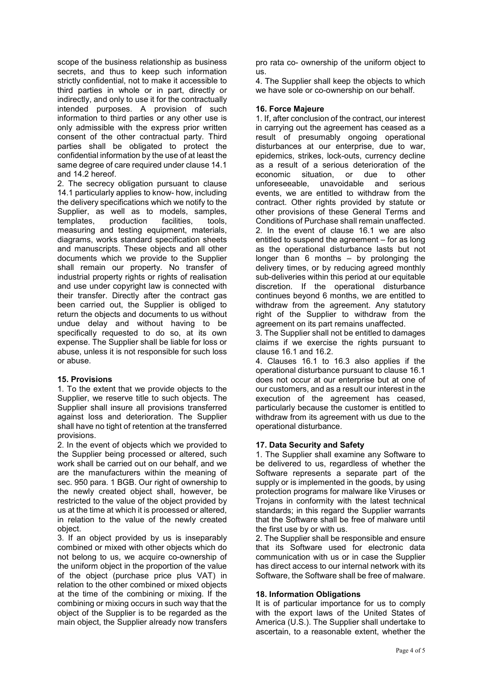scope of the business relationship as business secrets, and thus to keep such information strictly confidential, not to make it accessible to third parties in whole or in part, directly or indirectly, and only to use it for the contractually intended purposes. A provision of such information to third parties or any other use is only admissible with the express prior written consent of the other contractual party. Third parties shall be obligated to protect the confidential information by the use of at least the same degree of care required under clause 14.1 and 14.2 hereof.

2. The secrecy obligation pursuant to clause 14.1 particularly applies to know- how, including the delivery specifications which we notify to the Supplier, as well as to models, samples, templates, production facilities, tools, measuring and testing equipment, materials, diagrams, works standard specification sheets and manuscripts. These objects and all other documents which we provide to the Supplier shall remain our property. No transfer of industrial property rights or rights of realisation and use under copyright law is connected with their transfer. Directly after the contract gas been carried out, the Supplier is obliged to return the objects and documents to us without undue delay and without having to be specifically requested to do so, at its own expense. The Supplier shall be liable for loss or abuse, unless it is not responsible for such loss or abuse.

#### **15. Provisions**

1. To the extent that we provide objects to the Supplier, we reserve title to such objects. The Supplier shall insure all provisions transferred against loss and deterioration. The Supplier shall have no tight of retention at the transferred provisions.

2. In the event of objects which we provided to the Supplier being processed or altered, such work shall be carried out on our behalf, and we are the manufacturers within the meaning of sec. 950 para. 1 BGB. Our right of ownership to the newly created object shall, however, be restricted to the value of the object provided by us at the time at which it is processed or altered, in relation to the value of the newly created object.

3. If an object provided by us is inseparably combined or mixed with other objects which do not belong to us, we acquire co-ownership of the uniform object in the proportion of the value of the object (purchase price plus VAT) in relation to the other combined or mixed objects at the time of the combining or mixing. If the combining or mixing occurs in such way that the object of the Supplier is to be regarded as the main object, the Supplier already now transfers pro rata co- ownership of the uniform object to us.

4. The Supplier shall keep the objects to which we have sole or co-ownership on our behalf.

## **16. Force Majeure**

1. If, after conclusion of the contract, our interest in carrying out the agreement has ceased as a result of presumably ongoing operational disturbances at our enterprise, due to war, epidemics, strikes, lock-outs, currency decline as a result of a serious deterioration of the economic situation. or due to other economic situation. unforeseeable, unavoidable and serious events, we are entitled to withdraw from the contract. Other rights provided by statute or other provisions of these General Terms and Conditions of Purchase shall remain unaffected. 2. In the event of clause 16.1 we are also entitled to suspend the agreement – for as long as the operational disturbance lasts but not longer than 6 months – by prolonging the delivery times, or by reducing agreed monthly sub-deliveries within this period at our equitable discretion. If the operational disturbance continues beyond 6 months, we are entitled to withdraw from the agreement. Any statutory right of the Supplier to withdraw from the agreement on its part remains unaffected.

3. The Supplier shall not be entitled to damages claims if we exercise the rights pursuant to clause 16.1 and 16.2.

4. Clauses 16.1 to 16.3 also applies if the operational disturbance pursuant to clause 16.1 does not occur at our enterprise but at one of our customers, and as a result our interest in the execution of the agreement has ceased, particularly because the customer is entitled to withdraw from its agreement with us due to the operational disturbance.

## **17. Data Security and Safety**

1. The Supplier shall examine any Software to be delivered to us, regardless of whether the Software represents a separate part of the supply or is implemented in the goods, by using protection programs for malware like Viruses or Trojans in conformity with the latest technical standards; in this regard the Supplier warrants that the Software shall be free of malware until the first use by or with us.

2. The Supplier shall be responsible and ensure that its Software used for electronic data communication with us or in case the Supplier has direct access to our internal network with its Software, the Software shall be free of malware.

## **18. Information Obligations**

It is of particular importance for us to comply with the export laws of the United States of America (U.S.). The Supplier shall undertake to ascertain, to a reasonable extent, whether the